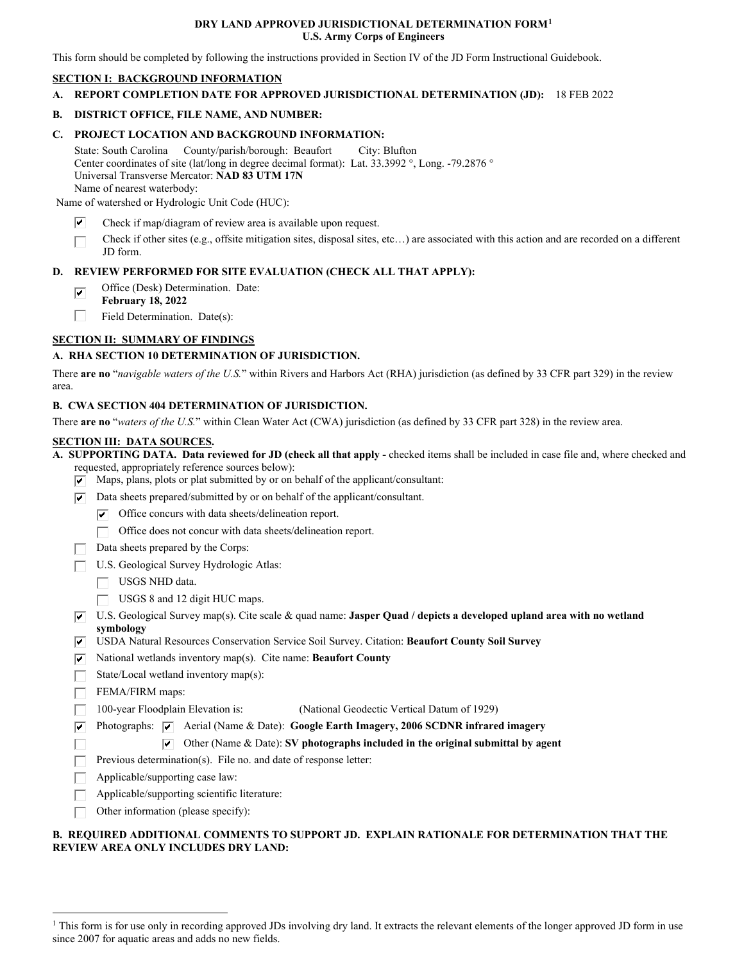### **DRY LAND APPROVED JURISDICTIONAL DETERMINATION FORM[1](#page-0-0) U.S. Army Corps of Engineers**

This form should be completed by following the instructions provided in Section IV of the JD Form Instructional Guidebook.

## **SECTION I: BACKGROUND INFORMATION**

**A. REPORT COMPLETION DATE FOR APPROVED JURISDICTIONAL DETERMINATION (JD):** 18 FEB 2022

# **B. DISTRICT OFFICE, FILE NAME, AND NUMBER:**

## **C. PROJECT LOCATION AND BACKGROUND INFORMATION:**

State: South Carolina County/parish/borough: Beaufort City: Blufton Center coordinates of site (lat/long in degree decimal format): Lat. 33.3992 °, Long. -79.2876 ° Universal Transverse Mercator: **NAD 83 UTM 17N**  Name of nearest waterbody:

Name of watershed or Hydrologic Unit Code (HUC):

- Check if map/diagram of review area is available upon request.  $\overline{\mathbf{v}}$
- Check if other sites (e.g., offsite mitigation sites, disposal sites, etc…) are associated with this action and are recorded on a different JD form.  $\Box$

## **D. REVIEW PERFORMED FOR SITE EVALUATION (CHECK ALL THAT APPLY):**

- Office (Desk) Determination. Date:  $\overline{\mathbf{v}}$
- **February 18, 2022**
- Field Determination. Date(s):  $\Box$

# **SECTION II: SUMMARY OF FINDINGS**

## **A. RHA SECTION 10 DETERMINATION OF JURISDICTION.**

There **are no** "*navigable waters of the U.S.*" within Rivers and Harbors Act (RHA) jurisdiction (as defined by 33 CFR part 329) in the review area.

#### **B. CWA SECTION 404 DETERMINATION OF JURISDICTION.**

There **are no** "*waters of the U.S.*" within Clean Water Act (CWA) jurisdiction (as defined by 33 CFR part 328) in the review area.

### **SECTION III: DATA SOURCES.**

**A. SUPPORTING DATA. Data reviewed for JD (check all that apply -** checked items shall be included in case file and, where checked and requested, appropriately reference sources below):

- $\triangledown$  Maps, plans, plots or plat submitted by or on behalf of the applicant/consultant:
- $\nabla$  Data sheets prepared/submitted by or on behalf of the applicant/consultant.
	- $\triangledown$  Office concurs with data sheets/delineation report.
	- $\Box$  Office does not concur with data sheets/delineation report.
- Data sheets prepared by the Corps:  $\mathbf{L}$
- U.S. Geological Survey Hydrologic Atlas: \_J
	- $\Box$  USGS NHD data.
	- $\Box$  USGS 8 and 12 digit HUC maps.
- U.S. Geological Survey map(s). Cite scale & quad name: **Jasper Quad / depicts a developed upland area with no wetland**  ..cl **symbology**
- USDA Natural Resources Conservation Service Soil Survey. Citation: Beaufort County Soil Survey
- $\sqrt{\phantom{a}}$  National wetlands inventory map(s). Cite name: **Beaufort County**
- State/Local wetland inventory map(s):
- $\Box$  FEMA/FIRM maps:

 $\sqcap$ 

- 100-year Floodplain Elevation is: (National Geodectic Vertical Datum of 1929)  $\Box$
- Photographs:  $\boxed{\checkmark}$  Aerial (Name & Date): Google Earth Imagery, 2006 SCDNR infrared imagery  $\overline{\mathbf{v}}$ 
	- $\triangledown$  Other (Name & Date): **SV photographs included in the original submittal by agent**
- Previous determination(s). File no. and date of response letter:  $\Box$
- Applicable/supporting case law:  $\Box$
- Applicable/supporting scientific literature:  $\Box$
- Other information (please specify):  $\Box$

## **B. REQUIRED ADDITIONAL COMMENTS TO SUPPORT JD. EXPLAIN RATIONALE FOR DETERMINATION THAT THE REVIEW AREA ONLY INCLUDES DRY LAND:**

<span id="page-0-0"></span><sup>&</sup>lt;sup>1</sup> This form is for use only in recording approved JDs involving dry land. It extracts the relevant elements of the longer approved JD form in use since 2007 for aquatic areas and adds no new fields.